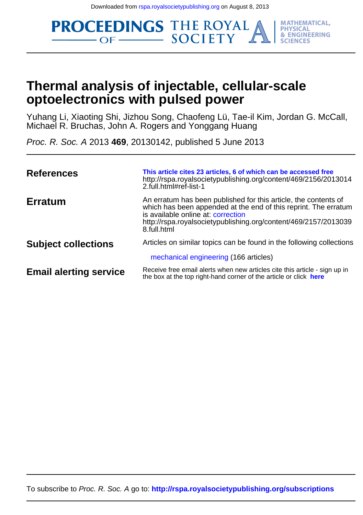**PROCEEDINGS THE ROYAL MATHEMATICAL, PHYSICAL** & ENGINEERING

## **optoelectronics with pulsed power Thermal analysis of injectable, cellular-scale**

Michael R. Bruchas, John A. Rogers and Yonggang Huang Yuhang Li, Xiaoting Shi, Jizhou Song, Chaofeng Lü, Tae-il Kim, Jordan G. McCall,

Proc. R. Soc. A 2013 **469**, 20130142, published 5 June 2013

| <b>References</b>             | This article cites 23 articles, 6 of which can be accessed free<br>http://rspa.royalsocietypublishing.org/content/469/2156/2013014<br>2.full.html#ref-list-1                                                                                               |
|-------------------------------|------------------------------------------------------------------------------------------------------------------------------------------------------------------------------------------------------------------------------------------------------------|
| <b>Erratum</b>                | An erratum has been published for this article, the contents of<br>which has been appended at the end of this reprint. The erratum<br>is available online at: correction<br>http://rspa.royalsocietypublishing.org/content/469/2157/2013039<br>8.full.html |
| <b>Subject collections</b>    | Articles on similar topics can be found in the following collections<br>mechanical engineering (166 articles)                                                                                                                                              |
| <b>Email alerting service</b> | Receive free email alerts when new articles cite this article - sign up in<br>the box at the top right-hand corner of the article or click here                                                                                                            |

To subscribe to Proc. R. Soc. A go to: **<http://rspa.royalsocietypublishing.org/subscriptions>**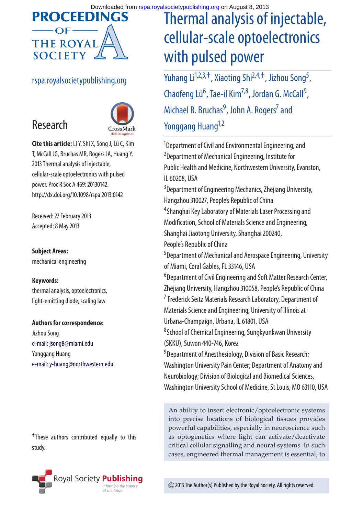

#### rspa.royalsocietypublishing.org



**Cite this article:**Li Y, Shi X, Song J, Lü C, Kim T, McCall JG, Bruchas MR, Rogers JA, Huang Y. 2013 Thermal analysis of injectable, cellular-scale optoelectronics with pulsed power. Proc R Soc A 469: 20130142. http://dx.doi.org/10.1098/rspa.2013.0142

Received: 27 February 2013 Accepted: 8 May 2013

#### **Subject Areas:**

Research

mechanical engineering

#### **Keywords:**

thermal analysis, optoelectronics, light-emitting diode, scaling law

**Authors for correspondence:** Jizhou Song [e-mail: jsong8@miami.edu](mailto:jsong8@miami.edu) Yonggang Huang

[e-mail: y-huang@northwestern.edu](mailto:y-huang@northwestern.edu)

†These authors contributed equally to this study.

## Thermal analysis of injectable, cellular-scale optoelectronics with pulsed power

Yuhang Li<sup>1,2,3,+</sup>, Xiaoting Shi<sup>2,4,+</sup>, Jizhou Song<sup>5</sup>, , Chaofeng Lü<sup>6</sup>, Tae-il Kim<sup>7,8</sup>, Jordan G. McCall<sup>9</sup> , Michael R. Bruchas<sup>9</sup>, John A. Rogers<sup>7</sup> and Yonggang Huang<sup>1,2</sup>

<sup>1</sup>Department of Civil and Environmental Engineering, and <sup>2</sup> Department of Mechanical Engineering, Institute for Public Health and Medicine, Northwestern University, Evanston, IL 60208, USA 3 Department of Engineering Mechanics, Zhejiang University, Hangzhou 310027, People's Republic of China 4 Shanghai Key Laboratory of Materials Laser Processing and Modification, School of Materials Science and Engineering, Shanghai Jiaotong University, Shanghai 200240, People's Republic of China 5 Department of Mechanical and Aerospace Engineering, University of Miami, Coral Gables, FL 33146, USA 6 Department of Civil Engineering and Soft Matter Research Center, Zhejiang University, Hangzhou 310058, People's Republic of China <sup>7</sup> Frederick Seitz Materials Research Laboratory, Department of Materials Science and Engineering, University of Illinois at Urbana-Champaign, Urbana, IL 61801, USA 8 School of Chemical Engineering, Sungkyunkwan University (SKKU), Suwon 440-746, Korea <sup>9</sup> Department of Anesthesiology, Division of Basic Research; Washington University Pain Center; Department of Anatomy and Neurobiology; Division of Biological and Biomedical Sciences, Washington University School of Medicine, St Louis, MO 63110, USA

An ability to insert electronic/optoelectronic systems into precise locations of biological tissues provides powerful capabilities, especially in neuroscience such as optogenetics where light can activate/deactivate critical cellular signalling and neural systems. In such cases, engineered thermal management is essential, to



2013 The Author(s) Published by the Royal Society. All rights reserved.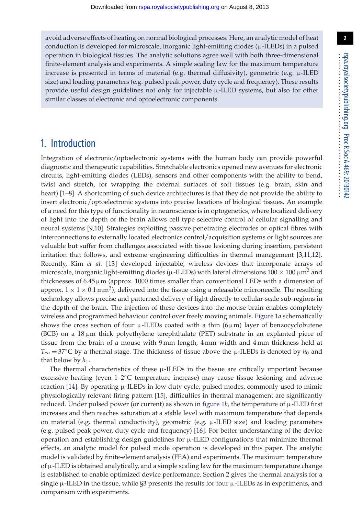avoid adverse effects of heating on normal biological processes. Here, an analytic model of heat conduction is developed for microscale, inorganic light-emitting diodes ( $\mu$ -ILEDs) in a pulsed operation in biological tissues. The analytic solutions agree well with both three-dimensional finite-element analysis and experiments. A simple scaling law for the maximum temperature increase is presented in terms of material (e.g. thermal diffusivity), geometric (e.g.  $\mu$ -ILED size) and loading parameters (e.g. pulsed peak power, duty cycle and frequency). These results provide useful design guidelines not only for injectable  $\mu$ -ILED systems, but also for other similar classes of electronic and optoelectronic components.

### 1. Introduction

Integration of electronic/optoelectronic systems with the human body can provide powerful diagnostic and therapeutic capabilities. Stretchable electronics opened new avenues for electronic circuits, light-emitting diodes (LEDs), sensors and other components with the ability to bend, twist and stretch, for wrapping the external surfaces of soft tissues (e.g. brain, skin and heart) [\[1](#page-9-0)[–8\]](#page-9-1). A shortcoming of such device architectures is that they do not provide the ability to insert electronic/optoelectronic systems into precise locations of biological tissues. An example of a need for this type of functionality in neuroscience is in optogenetics, where localized delivery of light into the depth of the brain allows cell type selective control of cellular signalling and neural systems [\[9](#page-10-0)[,10\]](#page-10-1). Strategies exploiting passive penetrating electrodes or optical fibres with interconnections to externally located electronics control/acquisition systems or light sources are valuable but suffer from challenges associated with tissue lesioning during insertion, persistent irritation that follows, and extreme engineering difficulties in thermal management [\[3,](#page-9-2)[11,](#page-10-2)[12\]](#page-10-3). Recently, Kim *et al.* [\[13\]](#page-10-4) developed injectable, wireless devices that incorporate arrays of microscale, inorganic light-emitting diodes ( $\mu$ -ILEDs) with lateral dimensions  $100 \times 100 \,\mu\text{m}^2$  and thicknesses of  $6.45 \mu m$  (approx. 1000 times smaller than conventional LEDs with a dimension of approx.  $1 \times 1 \times 0.1$  mm<sup>3</sup>), delivered into the tissue using a releasable microneedle. The resulting technology allows precise and patterned delivery of light directly to cellular-scale sub-regions in the depth of the brain. The injection of these devices into the mouse brain enables completely wireless and programmed behaviour control over freely moving animals. [Figure 1](#page-3-0)*a* schematically shows the cross section of four  $\mu$ -ILEDs coated with a thin (6 $\mu$ m) layer of benzocyclobutene  $(BCB)$  on a 18µm thick polyethylene terephthalate (PET) substrate in an explanted piece of tissue from the brain of a mouse with 9 mm length, 4 mm width and 4 mm thickness held at  $T_{\infty}$  = 37<sup>°</sup>C by a thermal stage. The thickness of tissue above the  $\mu$ -ILEDs is denoted by  $h_0$  and that below by  $h_1$ .

The thermal characteristics of these  $\mu$ -ILEDs in the tissue are critically important because excessive heating (even 1–2◦C temperature increase) may cause tissue lesioning and adverse reaction [\[14\]](#page-10-5). By operating µ-ILEDs in low duty cycle, pulsed modes, commonly used to mimic physiologically relevant firing pattern [\[15\]](#page-10-6), difficulties in thermal management are significantly reduced. Under pulsed power (or current) as shown in figure  $1b$ , the temperature of  $\mu$ -ILED first increases and then reaches saturation at a stable level with maximum temperature that depends on material (e.g. thermal conductivity), geometric (e.g. µ-ILED size) and loading parameters (e.g. pulsed peak power, duty cycle and frequency) [\[16\]](#page-10-7). For better understanding of the device operation and establishing design guidelines for  $\mu$ -ILED configurations that minimize thermal effects, an analytic model for pulsed mode operation is developed in this paper. The analytic model is validated by finite-element analysis (FEA) and experiments. The maximum temperature of  $\mu$ -ILED is obtained analytically, and a simple scaling law for the maximum temperature change is established to enable optimized device performance. Section 2 gives the thermal analysis for a single  $\mu$ -ILED in the tissue, while §3 presents the results for four  $\mu$ -ILEDs as in experiments, and comparison with experiments.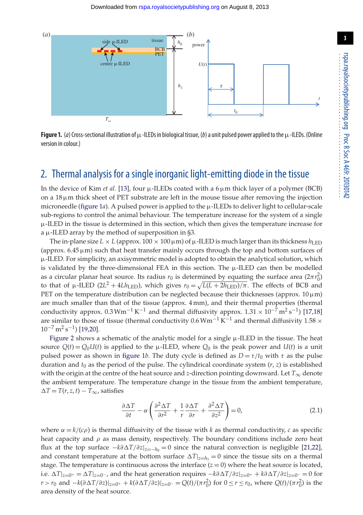

<span id="page-3-0"></span>**Figure 1.** (*a*) Cross-sectional illustration of  $\mu$ -ILEDs in biological tissue, (*b*) a unit pulsed power applied to the  $\mu$ -ILEDs. (Online version in colour.)

### 2. Thermal analysis for a single inorganic light-emitting diode in the tissue

In the device of Kim *et al.* [\[13\]](#page-10-4), four  $\mu$ -ILEDs coated with a  $6 \mu$ m thick layer of a polymer (BCB) on a  $18 \mu m$  thick sheet of PET substrate are left in the mouse tissue after removing the injection microneedle (figure  $1a$ ). A pulsed power is applied to the  $\mu$ -ILEDs to deliver light to cellular-scale sub-regions to control the animal behaviour. The temperature increase for the system of a single µ-ILED in the tissue is determined in this section, which then gives the temperature increase for a µ-ILED array by the method of superposition in §3.

The in-plane size  $L \times L$  (approx. 100  $\times$  100  $\mu$ m) of  $\mu$ -ILED is much larger than its thickness  $h_{\text{LED}}$ (approx.  $6.45 \mu m$ ) such that heat transfer mainly occurs through the top and bottom surfaces of µ-ILED. For simplicity, an axisymmetric model is adopted to obtain the analytical solution, which is validated by the three-dimensional FEA in this section. The  $\mu$ -ILED can then be modelled as a circular planar heat source. Its radius  $r_0$  is determined by equating the surface area  $(2\pi r_0^2)$ to that of  $\mu$ -ILED (2L<sup>2</sup> + 4*Lh*<sub>LED</sub>), which gives  $r_0 = \sqrt{L(L + 2h_{LED})/\pi}$ . The effects of BCB and PET on the temperature distribution can be neglected because their thicknesses (approx.  $10 \mu m$ ) are much smaller than that of the tissue (approx. 4 mm), and their thermal properties (thermal conductivity approx. 0.3 Wm<sup>-1</sup> K<sup>-1</sup> and thermal diffusivity approx. 1.31 × 10<sup>-7</sup> m<sup>2</sup> s<sup>-1</sup>) [\[17](#page-10-8)[,18\]](#page-10-9) are similar to those of tissue (thermal conductivity 0.6  $Wm^{-1}K^{-1}$  and thermal diffusivity 1.58  $\times$  $10^{-7}$  m<sup>2</sup> s<sup>-1</sup>) [\[19](#page-10-10)[,20\]](#page-10-11).

[Figure 2](#page-4-0) shows a schematic of the analytic model for a single  $\mu$ -ILED in the tissue. The heat source  $Q(t) = Q_0U(t)$  is applied to the  $\mu$ -ILED, where  $Q_0$  is the peak power and  $U(t)$  is a unit pulsed power as shown in [figure 1](#page-3-0)*b*. The duty cycle is defined as  $D = \tau/t_0$  with  $\tau$  as the pulse duration and  $t_0$  as the period of the pulse. The cylindrical coordinate system  $(r, z)$  is established with the origin at the centre of the heat source and *z*-direction pointing downward. Let  $T_{\infty}$  denote the ambient temperature. The temperature change in the tissue from the ambient temperature,  $\Delta T = T(r, z, t) - T_{\infty}$ , satisfies

$$
\frac{\partial \Delta T}{\partial t} - \alpha \left( \frac{\partial^2 \Delta T}{\partial r^2} + \frac{1}{r} \frac{\partial \Delta T}{\partial r} + \frac{\partial^2 \Delta T}{\partial z^2} \right) = 0,\tag{2.1}
$$

where  $\alpha = k/(c\rho)$  is thermal diffusivity of the tissue with *k* as thermal conductivity, *c* as specific heat capacity and  $\rho$  as mass density, respectively. The boundary conditions include zero heat flux at the top surface −*k*∂*T*/∂*z*|*z*=−*h*<sup>0</sup> = 0 since the natural convection is negligible [\[21,](#page-10-12)[22\]](#page-10-13), and constant temperature at the bottom surface  $\Delta T|_{z=h_1} = 0$  since the tissue sits on a thermal stage. The temperature is continuous across the interface  $(z = 0)$  where the heat source is located, i.e.  $\Delta T|_{z=0^+} = \Delta T|_{z=0^-}$ , and the heat generation requires  $-k\partial \Delta T/\partial z|_{z=0^+} + k\partial \Delta T/\partial z|_{z=0^-} = 0$  for *r* > *r*<sub>0</sub> and  $-k(\partial \Delta T/\partial z)|_{z=0^+} + k(\partial \Delta T/\partial z)|_{z=0^-} = Q(t)/(\pi r_0^2)$  for  $0 ≤ r ≤ r_0$ , where  $Q(t)/(\pi r_0^2)$  is the area density of the heat source.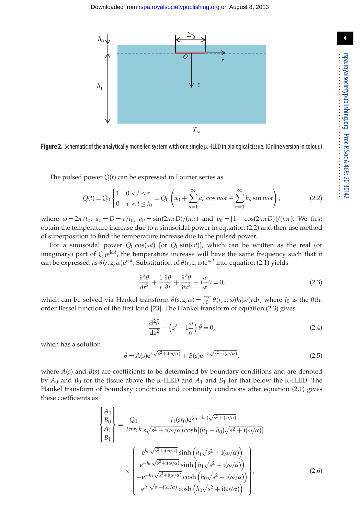

<span id="page-4-0"></span>Figure 2. Schematic of the analytically modelled system with one single  $\mu$ -ILED in biological tissue. (Online version in colour.)

The pulsed power *Q*(*t*) can be expressed in Fourier series as

$$
Q(t) = Q_0 \begin{cases} 1 & 0 < t \le \tau \\ 0 & \tau < t \le t_0 \end{cases} = Q_0 \left( a_0 + \sum_{n=1}^{\infty} a_n \cos n\omega t + \sum_{n=1}^{\infty} b_n \sin n\omega t \right),
$$
 (2.2)

where  $\omega = 2\pi/t_0$ ,  $a_0 = D = \tau/t_0$ ,  $a_n = \sin(2n\pi D)/(n\pi)$  and  $b_n = [1 - \cos(2n\pi D)]/(n\pi)$ . We first obtain the temperature increase due to a sinusoidal power in equation (2.2) and then use method of superposition to find the temperature increase due to the pulsed power.

For a sinusoidal power *Q*<sup>0</sup> cos(ω*t*) [or *Q*<sup>0</sup> sin(ω*t*)], which can be written as the real (or imaginary) part of  $Q_0e^{i\omega t}$ , the temperature increase will have the same frequency such that it can be expressed as  $\theta(r, z; \omega) e^{i\omega t}$ . Substitution of  $\theta(r, z; \omega) e^{i\omega t}$  into equation (2.1) yields

$$
\frac{\partial^2 \theta}{\partial r^2} + \frac{1}{r} \frac{\partial \theta}{\partial r} + \frac{\partial^2 \theta}{\partial z^2} - i \frac{\omega}{\alpha} \theta = 0,
$$
 (2.3)

which can be solved via Hankel transform  $\bar{\theta}(s, z; \omega) = \int_0^\infty \theta(r, z; \omega) J_0(sr) r dr$ , where  $J_0$  is the 0thorder Bessel function of the first kind [\[23\]](#page-10-14). The Hankel transform of equation (2.3) gives

$$
\frac{\mathrm{d}^2 \bar{\theta}}{\mathrm{d}z^2} - \left(s^2 + i\frac{\omega}{\alpha}\right)\bar{\theta} = 0,\tag{2.4}
$$

which has a solution

$$
\bar{\theta} = A(s)e^{z\sqrt{s^2 + i(\omega/\alpha)}} + B(s)e^{-z\sqrt{s^2 + i(\omega/\alpha)}},\tag{2.5}
$$

where  $A(s)$  and  $B(s)$  are coefficients to be determined by boundary conditions and are denoted by  $A_0$  and  $B_0$  for the tissue above the  $\mu$ -ILED and  $A_1$  and  $B_1$  for that below the  $\mu$ -ILED. The Hankel transform of boundary conditions and continuity conditions after equation (2.1) gives these coefficients as

$$
\begin{Bmatrix}\nA_0 \\
B_0 \\
A_1 \\
B_1\n\end{Bmatrix} = \frac{Q_0}{2\pi r_0 k} \frac{J_1(sr_0)e^{(h_1 + h_0)\sqrt{s^2 + i(\omega/\alpha)}}}{s\sqrt{s^2 + i(\omega/\alpha)}\cosh[(h_1 + h_0)\sqrt{s^2 + i(\omega/\alpha)}]}
$$
\n
$$
\times \begin{Bmatrix}\ne^{h_0\sqrt{s^2 + i(\omega/\alpha)}} \sinh\left(h_1\sqrt{s^2 + i(\omega/\alpha)}\right) \\
e^{-h_0\sqrt{s^2 + i(\omega/\alpha)}} \sinh\left(h_1\sqrt{s^2 + i(\omega/\alpha)}\right) \\
-e^{-h_1\sqrt{s^2 + i(\omega/\alpha)}} \cosh\left(h_0\sqrt{s^2 + i(\omega/\alpha)}\right) \\
e^{h_1\sqrt{s^2 + i(\omega/\alpha)}} \cosh\left(h_0\sqrt{s^2 + i(\omega/\alpha)}\right)\n\end{Bmatrix},
$$
\n(2.6)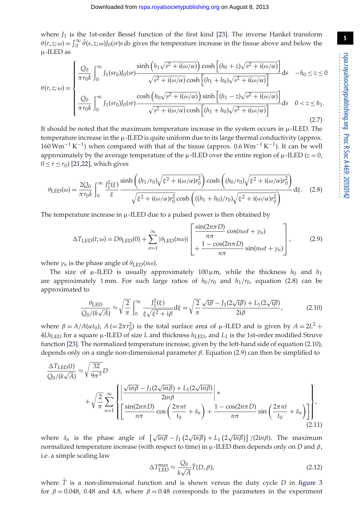where  $J_1$  is the 1st-order Bessel function of the first kind [\[23\]](#page-10-14). The inverse Hankel transform  $\theta(r, z; \omega) = \int_0^\infty \theta(s, z; \omega) J_0(sr) s ds$  gives the temperature increase in the tissue above and below the µ-ILED as

$$
\theta(r,z;\omega) = \begin{cases}\n\frac{Q_0}{\pi r_0 k} \int_0^\infty J_1(sr_0) J_0(sr) \frac{\sinh\left(h_1 \sqrt{s^2 + i(\omega/\alpha)}\right) \cosh\left[(h_0 + z)\sqrt{s^2 + i(\omega/\alpha)}\right]}{\sqrt{s^2 + i(\omega/\alpha)} \cosh\left[(h_1 + h_0)\sqrt{s^2 + i(\omega/\alpha)}\right]} ds & -h_0 \le z \le 0 \\
\frac{Q_0}{\pi r_0 k} \int_0^\infty J_1(sr_0) J_0(sr) \frac{\cosh\left(h_0 \sqrt{s^2 + i(\omega/\alpha)}\right) \sinh\left[(h_1 - z)\sqrt{s^2 + i(\omega/\alpha)}\right]}{\sqrt{s^2 + i(\omega/\alpha)} \cosh\left[(h_1 + h_0)\sqrt{s^2 + i(\omega/\alpha)}\right]} ds & 0 < z \le h_1.\n\end{cases}
$$
\n(2.7)

It should be noted that the maximum temperature increase in the system occurs in µ-ILED. The temperature increase in the  $\mu$ -ILED is quite uniform due to its large thermal conductivity (approx.  $160 \,\mathrm{Wm}^{-1}\,\mathrm{K}^{-1}$ ) when compared with that of the tissue (approx. 0.6  $\mathrm{Wm}^{-1}\,\mathrm{K}^{-1}$ ). It can be well approximately by the average temperature of the  $\mu$ -ILED over the entire region of  $\mu$ -ILED ( $z = 0$ ,  $0 \le r \le r_0$ ) [\[21,](#page-10-12)[22\]](#page-10-13), which gives

$$
\theta_{\rm LED}(\omega) = \frac{2Q_0}{\pi r_0 k} \int_0^\infty \frac{J_1^2(\xi)}{\xi} \frac{\sinh\left((h_1/r_0)\sqrt{\xi^2 + i(\omega/\alpha)r_0^2}\right)\cosh\left((h_0/r_0)\sqrt{\xi^2 + i(\omega/\alpha)r_0^2}\right)}{\sqrt{\xi^2 + i(\omega/\alpha)r_0^2}\cosh\left(((h_1 + h_0)/r_0)\sqrt{\xi^2 + i(\omega/\alpha)r_0^2}\right)} d\xi. \quad (2.8)
$$

The temperature increase in  $\mu$ -ILED due to a pulsed power is then obtained by

$$
\Delta T_{\text{LED}}(t; \omega) = D\theta_{\text{LED}}(0) + \sum_{n=1}^{\infty} |\theta_{\text{LED}}(n\omega)| \left[ \frac{\sin(2n\pi D)}{n\pi} \cos(n\omega t + \gamma_n) + \frac{1 - \cos(2n\pi D)}{n\pi} \sin(n\omega t + \gamma_n) \right],
$$
(2.9)

where  $\gamma_n$  is the phase angle of  $\theta_{\text{LED}}(n\omega)$ .

The size of  $\mu$ -ILED is usually approximately 100  $\mu$ m, while the thickness  $h_0$  and  $h_1$ are approximately 1 mm. For such large ratios of  $h_0/r_0$  and  $h_1/r_0$ , equation (2.8) can be approximated to

$$
\frac{\theta_{\text{LED}}}{Q_0/(k\sqrt{A})} \approx \sqrt{\frac{2}{\pi}} \int_0^\infty \frac{J_1^2(\xi)}{\xi\sqrt{\xi^2 + i\beta}} d\xi = \sqrt{\frac{2}{\pi}} \frac{\sqrt{i\beta} - J_1(2\sqrt{i\beta}) + L_1(2\sqrt{i\beta})}{2i\beta},\tag{2.10}
$$

where  $\beta = A/A(\alpha t_0)$ ,  $A (= 2\pi r_0^2)$  is the total surface area of  $\mu$ -ILED and is given by  $A = 2L^2 +$  $4Lh_{LED}$  for a square  $\mu$ -ILED of size *L* and thickness  $h_{LED}$ , and  $L_1$  is the 1st-order modified Struve function [\[23\]](#page-10-14). The normalized temperature increase, given by the left-hand side of equation (2.10), depends only on a single non-dimensional parameter  $\beta$ . Equation (2.9) can then be simplified to

$$
\frac{\Delta T_{\text{LED}}(t)}{Q_0/(k\sqrt{A})} \approx \sqrt{\frac{32}{9\pi^3}} D
$$
\n
$$
+ \sqrt{\frac{2}{\pi}} \sum_{n=1}^{\infty} \left\{ \left| \frac{\sqrt{in\beta} - J_1(2\sqrt{in\beta}) + L_1(2\sqrt{in\beta})}{2in\beta} \right| * \frac{2in\beta}{n\pi} \cos\left(\frac{2\pi nt}{t_0} + \delta_n\right) + \frac{1 - \cos(2n\pi D)}{n\pi} \sin\left(\frac{2\pi nt}{t_0} + \delta_n\right) \right\}' \right\}'
$$
\n(2.11)

where  $\delta_n$  is the phase angle of  $\left\{\sqrt{in\beta} - J_1(2\sqrt{in\beta}) + L_1(2\sqrt{in\beta})\right\}/(2in\beta)$ . The maximum normalized temperature increase (with respect to time) in  $\mu$ -ILED then depends only on *D* and *β*, i.e. a simple scaling law

$$
\Delta T_{\text{LED}}^{\text{max}} \approx \frac{Q_0}{k\sqrt{A}} \bar{T}(D,\beta),\tag{2.12}
$$

where  $\overline{T}$  is a non-dimensional function and is shown versus the duty cycle *D* in [figure 3](#page-6-0) for  $\beta = 0.048$ , 0.48 and 4.8, where  $\beta = 0.48$  corresponds to the parameters in the experiment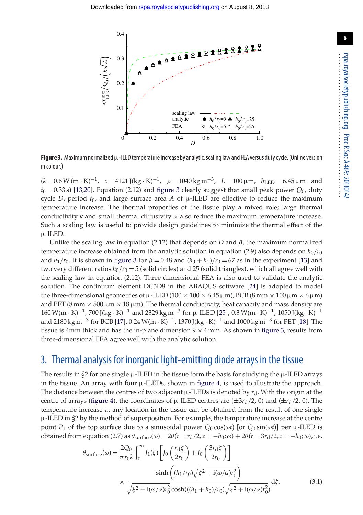

<span id="page-6-0"></span>**Figure 3.** Maximum normalized  $\mu$ -ILED temperature increase by analytic, scaling law and FEA versus duty cycle. (Online version in colour.)

 $(k = 0.6 \text{ W (m} \cdot \text{K})^{-1}$ ,  $c = 4121 \text{ [(kg} \cdot \text{K})^{-1}$ ,  $\rho = 1040 \text{ kg m}^{-3}$ ,  $L = 100 \text{ µm}$ ,  $h_{\text{LED}} = 6.45 \text{ µm}$  and  $t_0 = 0.33$  s) [\[13](#page-10-4)[,20\]](#page-10-11). Equation (2.12) and [figure 3](#page-6-0) clearly suggest that small peak power  $Q_0$ , duty cycle *D*, period  $t_0$ , and large surface area *A* of  $\mu$ -ILED are effective to reduce the maximum temperature increase. The thermal properties of the tissue play a mixed role; large thermal conductivity  $k$  and small thermal diffusivity  $\alpha$  also reduce the maximum temperature increase. Such a scaling law is useful to provide design guidelines to minimize the thermal effect of the µ-ILED.

Unlike the scaling law in equation (2.12) that depends on *D* and  $\beta$ , the maximum normalized temperature increase obtained from the analytic solution in equation (2.9) also depends on  $h_0/r_0$ and  $h_1/r_0$ . It is shown in [figure 3](#page-6-0) for  $\beta = 0.48$  and  $(h_0 + h_1)/r_0 = 67$  as in the experiment [\[13\]](#page-10-4) and two very different ratios  $h_0/r_0 = 5$  (solid circles) and 25 (solid triangles), which all agree well with the scaling law in equation (2.12). Three-dimensional FEA is also used to validate the analytic solution. The continuum element DC3D8 in the ABAQUS software [\[24\]](#page-10-15) is adopted to model the three-dimensional geometries of  $\mu$ -ILED (100  $\times$  100  $\times$  6.45  $\mu$ m), BCB (8 mm  $\times$  100  $\mu$ m  $\times$  6  $\mu$ m) and PET (8 mm  $\times$  500  $\mu$ m  $\times$  18  $\mu$ m). The thermal conductivity, heat capacity and mass density are  $160 W(m \cdot K)^{-1}$ , 700 J(kg · K)<sup>-1</sup> and 2329 kg m<sup>-3</sup> for µ-ILED [\[25\]](#page-10-16), 0.3 W(m · K)<sup>-1</sup>, 1050 J(kg · K)<sup>-1</sup> and 2180 kg m<sup>-3</sup> for BCB [\[17\]](#page-10-8), 0.24 W(m · K)<sup>-1</sup>, 1370 J(kg · K)<sup>-1</sup> and 1000 kg m<sup>-3</sup> for PET [\[18\]](#page-10-9). The tissue is 4mm thick and has the in-plane dimension  $9 \times 4$  mm. As shown in [figure 3,](#page-6-0) results from three-dimensional FEA agree well with the analytic solution.

#### 3. Thermal analysis for inorganic light-emitting diode arrays in the tissue

The results in  $\S2$  for one single  $\mu$ -ILED in the tissue form the basis for studying the  $\mu$ -ILED arrays in the tissue. An array with four  $\mu$ -ILEDs, shown in [figure 4,](#page-7-0) is used to illustrate the approach. The distance between the centres of two adjacent  $\mu$ -ILEDs is denoted by  $r_d$ . With the origin at the centre of arrays [\(figure 4\)](#page-7-0), the coordinates of  $\mu$ -ILED centres are ( $\pm 3r_d/2$ , 0) and ( $\pm r_d/2$ , 0). The temperature increase at any location in the tissue can be obtained from the result of one single  $\mu$ -ILED in §2 by the method of superposition. For example, the temperature increase at the centre point  $P_1$  of the top surface due to a sinusoidal power  $Q_0 \cos(\omega t)$  [or  $Q_0 \sin(\omega t)$ ] per  $\mu$ -ILED is obtained from equation (2.7) as θsurface(ω) = 2θ(*r* = *r*d/2, *z* = −*h*0; ω) + 2θ(*r* = 3*r*d/2, *z* = −*h*0; ω), i.e.

$$
\theta_{\text{surface}}(\omega) = \frac{2Q_0}{\pi r_0 k} \int_0^\infty J_1(\xi) \left[ J_0\left(\frac{r_\text{d}\xi}{2r_0}\right) + J_0\left(\frac{3r_\text{d}\xi}{2r_0}\right) \right]
$$

$$
\times \frac{\sinh\left((h_1/r_0)\sqrt{\xi^2 + i(\omega/\alpha)r_0^2}\right)}{\sqrt{\xi^2 + i(\omega/\alpha)r_0^2}\cosh(((h_1 + h_0)/r_0)\sqrt{\xi^2 + i(\omega/\alpha)r_0^2})} d\xi. \tag{3.1}
$$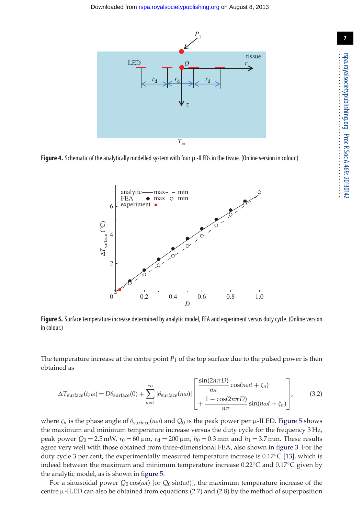

<span id="page-7-0"></span>Figure 4. Schematic of the analytically modelled system with four  $\mu$ -ILEDs in the tissue. (Online version in colour.)



<span id="page-7-1"></span>**Figure 5.** Surface temperature increase determined by analytic model, FEA and experiment versus duty cycle. (Online version in colour.)

The temperature increase at the centre point *P*<sup>1</sup> of the top surface due to the pulsed power is then obtained as

$$
\Delta T_{\text{surface}}(t; \omega) = D\theta_{\text{surface}}(0) + \sum_{n=1}^{\infty} |\theta_{\text{surface}}(n\omega)| \left[ \frac{\sin(2n\pi D)}{n\pi} \cos(n\omega t + \zeta_n) \right], \quad (3.2)
$$

where  $\zeta_n$  is the phase angle of  $\theta_{\text{surface}}(n\omega)$  and  $Q_0$  is the peak power per  $\mu$ -ILED. [Figure 5](#page-7-1) shows the maximum and minimum temperature increase versus the duty cycle for the frequency 3 Hz, peak power  $Q_0 = 2.5$  mW,  $r_0 = 60 \,\mu$ m,  $r_d = 200 \,\mu$ m,  $h_0 = 0.3$  mm and  $h_1 = 3.7$  mm. These results agree very well with those obtained from three-dimensional FEA, also shown in [figure 3.](#page-6-0) For the duty cycle 3 per cent, the experimentally measured temperature increase is  $0.17^{\circ}C$  [\[13\]](#page-10-4), which is indeed between the maximum and minimum temperature increase 0.22◦C and 0.17◦C given by the analytic model, as is shown in [figure 5.](#page-7-1)

For a sinusoidal power  $Q_0 \cos(\omega t)$  [or  $Q_0 \sin(\omega t)$ ], the maximum temperature increase of the centre  $\mu$ -ILED can also be obtained from equations (2.7) and (2.8) by the method of superposition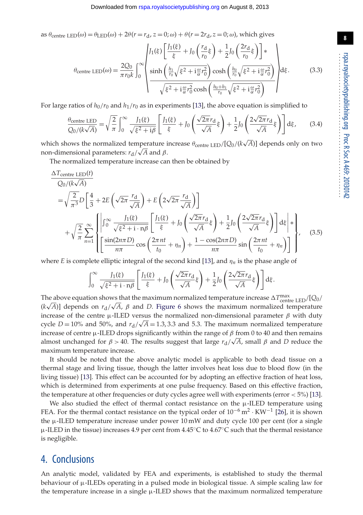as  $\theta_{\text{centre}}$  LED( $\omega$ ) =  $\theta_{\text{LED}}(\omega)$  +  $2\theta$ ( $r = r_d$ ,  $z = 0$ ;  $\omega$ ) +  $\theta$ ( $r = 2r_d$ ,  $z = 0$ ;  $\omega$ ), which gives

$$
\theta_{\text{centre LED}}(\omega) = \frac{2Q_0}{\pi r_0 k} \int_0^\infty \left\{ \frac{J_1(\xi)}{\xi} + J_0 \left( \frac{r_\mathrm{d}}{r_0} \xi \right) + \frac{1}{2} J_0 \left( \frac{2r_\mathrm{d}}{r_0} \xi \right) \right\} * \frac{2Q_0}{\pi r_0 k} \int_0^\infty \left\{ \frac{\sinh\left(\frac{h_1}{r_0}\sqrt{\xi^2 + i\frac{\omega}{\alpha}r_0^2}\right) \cosh\left(\frac{h_0}{r_0}\sqrt{\xi^2 + i\frac{\omega}{\alpha}r_0^2}\right)}{\sqrt{\xi^2 + i\frac{\omega}{\alpha}r_0^2} \cosh\left(\frac{h_0 + h_1}{r_0}\sqrt{\xi^2 + i\frac{\omega}{\alpha}r_0^2}\right)} \right\} d\xi. \tag{3.3}
$$

For large ratios of  $h_0/r_0$  and  $h_1/r_0$  as in experiments [\[13\]](#page-10-4), the above equation is simplified to

$$
\frac{\theta_{\text{centre LED}}}{Q_0/(k\sqrt{A})} = \sqrt{\frac{2}{\pi}} \int_0^\infty \frac{J_1(\xi)}{\sqrt{\xi^2 + i\beta}} \left[ \frac{J_1(\xi)}{\xi} + J_0 \left( \frac{\sqrt{2\pi}r_d}{\sqrt{A}} \xi \right) + \frac{1}{2} J_0 \left( \frac{2\sqrt{2\pi}r_d}{\sqrt{A}} \xi \right) \right] d\xi, \tag{3.4}
$$

which shows the normalized temperature increase  $\theta_{\text{centre LED}}/[Q_0/(k\sqrt{A})]$  depends only on two non-dimensional parameters: *r*d/ √ *A* and β.

The normalized temperature increase can then be obtained by

$$
\frac{\Delta T_{\text{centre LED}}(t)}{Q_0/(k\sqrt{A})}
$$
\n
$$
= \sqrt{\frac{2}{\pi^3}} D \left[ \frac{4}{3} + 2E \left( \sqrt{2\pi} \frac{r_d}{\sqrt{A}} \right) + E \left( 2\sqrt{2\pi} \frac{r_d}{\sqrt{A}} \right) \right]
$$
\n
$$
+ \sqrt{\frac{2}{\pi}} \sum_{n=1}^{\infty} \left\{ \left| \int_0^{\infty} \frac{J_1(\xi)}{\sqrt{\xi^2 + 1} \cdot n\beta} \left[ \frac{J_1(\xi)}{\xi} + J_0 \left( \frac{\sqrt{2\pi} r_d}{\sqrt{A}} \xi \right) + \frac{1}{2} J_0 \left( \frac{2\sqrt{2\pi} r_d}{\sqrt{A}} \xi \right) \right] d\xi \right\} \right\}, \quad (3.5)
$$
\n
$$
= \sqrt{\frac{2\pi}{\pi}} \left\{ \left[ \frac{\sin(2n\pi D)}{n\pi} \cos \left( \frac{2\pi n t}{t_0} + \eta_n \right) + \frac{1 - \cos(2n\pi D)}{n\pi} \sin \left( \frac{2\pi n t}{t_0} + \eta_n \right) \right] \right\}, \quad (3.6)
$$

where *E* is complete elliptic integral of the second kind [\[13\]](#page-10-4), and  $\eta_n$  is the phase angle of

$$
\int_0^\infty \frac{J_1(\xi)}{\sqrt{\xi^2 + i \cdot n\beta}} \left[ \frac{J_1(\xi)}{\xi} + J_0 \left( \frac{\sqrt{2\pi} r_d}{\sqrt{A}} \xi \right) + \frac{1}{2} J_0 \left( \frac{2\sqrt{2\pi} r_d}{\sqrt{A}} \xi \right) \right] d\xi.
$$

The above equation shows that the maximum normalized temperature increase  $\Delta T_{\text{centre LED}}^{\text{max}}/[Q_0/\sqrt{Q_{\text{cut}}}$  $(k\sqrt{A})$ ] depends on  $r_d/\sqrt{A}$ ,  $\beta$  and *D*. [Figure 6](#page-9-3) shows the maximum normalized temperature increase of the centre  $\mu$ -ILED versus the normalized non-dimensional parameter  $β$  with duty cycle  $D = 10\%$  and 50%, and  $r_d/\sqrt{A} = 1.3, 3.3$  and 5.3. The maximum normalized temperature increase of centre  $\mu$ -ILED drops significantly within the range of  $\beta$  from 0 to 40 and then remains almost unchanged for  $\beta > 40$ . The results suggest that large  $r_d/\sqrt{A}$ , small  $\beta$  and  $D$  reduce the maximum temperature increase.

It should be noted that the above analytic model is applicable to both dead tissue on a thermal stage and living tissue, though the latter involves heat loss due to blood flow (in the living tissue) [\[13\]](#page-10-4). This effect can be accounted for by adopting an effective fraction of heat loss, which is determined from experiments at one pulse frequency. Based on this effective fraction, the temperature at other frequencies or duty cycles agree well with experiments (error < 5%) [\[13\]](#page-10-4).

We also studied the effect of thermal contact resistance on the  $\mu$ -ILED temperature using FEA. For the thermal contact resistance on the typical order of  $10^{-6}$  m<sup>2</sup> · KW<sup>-1</sup> [\[26\]](#page-10-17), it is shown the µ-ILED temperature increase under power 10 mW and duty cycle 100 per cent (for a single  $\mu$ -ILED in the tissue) increases 4.9 per cent from  $4.45^{\circ}$ C to  $4.67^{\circ}$ C such that the thermal resistance is negligible.

### 4. Conclusions

An analytic model, validated by FEA and experiments, is established to study the thermal behaviour of µ-ILEDs operating in a pulsed mode in biological tissue. A simple scaling law for the temperature increase in a single  $\mu$ -ILED shows that the maximum normalized temperature 20130142

..................................................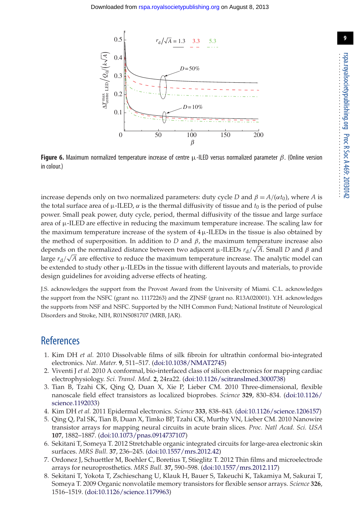

<span id="page-9-3"></span>**Figure 6.** Maximum normalized temperature increase of centre  $\mu$ -ILED versus normalized parameter  $\beta$ . (Online version in colour.)

increase depends only on two normalized parameters: duty cycle *D* and  $\beta = A/(\alpha t_0)$ , where *A* is the total surface area of  $\mu$ -ILED,  $\alpha$  is the thermal diffusivity of tissue and  $t_0$  is the period of pulse power. Small peak power, duty cycle, period, thermal diffusivity of the tissue and large surface area of  $\mu$ -ILED are effective in reducing the maximum temperature increase. The scaling law for the maximum temperature increase of the system of  $4 \mu$ -ILEDs in the tissue is also obtained by the method of superposition. In addition to  $D$  and  $\beta$ , the maximum temperature increase also depends on the normalized distance between two adjacent  $\mu$ -ILEDs  $r_d/\sqrt{A}$ . Small *D* and  $\beta$  and large  $r_d/\sqrt{A}$  are effective to reduce the maximum temperature increase. The analytic model can be extended to study other  $\mu$ -ILEDs in the tissue with different layouts and materials, to provide design guidelines for avoiding adverse effects of heating.

J.S. acknowledges the support from the Provost Award from the University of Miami. C.L. acknowledges the support from the NSFC (grant no. 11172263) and the ZJNSF (grant no. R13A020001). Y.H. acknowledges the supports from NSF and NSFC. Supported by the NIH Common Fund; National Institute of Neurological Disorders and Stroke, NIH, R01NS081707 (MRB, JAR).

#### <span id="page-9-0"></span>**References**

- 1. Kim DH *et al.* 2010 Dissolvable films of silk fibroin for ultrathin conformal bio-integrated electronics. *Nat. Mater.* **9**, 511–517. [\(doi:10.1038/NMAT2745\)](http://dx.doi.org/doi:10.1038/NMAT2745)
- 2. Viventi J *et al.* 2010 A conformal, bio-interfaced class of silicon electronics for mapping cardiac electrophysiology. *Sci. Transl. Med.* **2**, 24ra22. [\(doi:10.1126/scitranslmed.3000738\)](http://dx.doi.org/doi:10.1126/scitranslmed.3000738)
- <span id="page-9-2"></span>3. Tian B, Tzahi CK, Qing Q, Duan X, Xie P, Lieber CM. 2010 Three-dimensional, flexible nanoscale field effect transistors as localized bioprobes. *Science* **329**, 830–834. [\(doi:10.1126/](http://dx.doi.org/doi:10.1126/science.1192033) [science.1192033\)](http://dx.doi.org/doi:10.1126/science.1192033)
- 4. Kim DH *et al.* 2011 Epidermal electronics. *Science* **333**, 838–843. [\(doi:10.1126/science.1206157\)](http://dx.doi.org/doi:10.1126/science.1206157)
- 5. Qing Q, Pal SK, Tian B, Duan X, Timko BP, Tzahi CK, Murthy VN, Lieber CM. 2010 Nanowire transistor arrays for mapping neural circuits in acute brain slices. *Proc. Natl Acad. Sci. USA* **107**, 1882–1887. [\(doi:10.1073/pnas.0914737107\)](http://dx.doi.org/doi:10.1073/pnas.0914737107)
- 6. Sekitani T, Someya T. 2012 Stretchable organic integrated circuits for large-area electronic skin surfaces. *MRS Bull.* **37**, 236–245. [\(doi:10.1557/mrs.2012.42\)](http://dx.doi.org/doi:10.1557/mrs.2012.42)
- 7. Ordonez J, Schuettler M, Boehler C, Boretius T, Stieglitz T. 2012 Thin films and microelectrode arrays for neuroprosthetics. *MRS Bull.* **37,** 590–598. [\(doi:10.1557/mrs.2012.117\)](http://dx.doi.org/doi:10.1557/mrs.2012.117)
- <span id="page-9-1"></span>8. Sekitani T, Yokota T, Zschieschang U, Klauk H, Bauer S, Takeuchi K, Takamiya M, Sakurai T, Someya T. 2009 Organic nonvolatile memory transistors for flexible sensor arrays. *Science* **326**, 1516–1519. [\(doi:10.1126/science.1179963\)](http://dx.doi.org/doi:10.1126/science.1179963)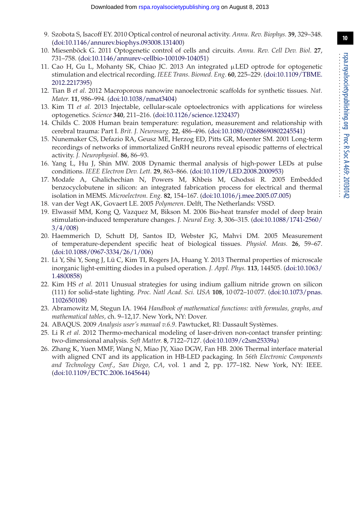- <span id="page-10-0"></span>9. Szobota S, Isacoff EY. 2010 Optical control of neuronal activity. *Annu. Rev. Biophys.* **39**, 329–348. [\(doi:10.1146/annurev.biophys.093008.131400\)](http://dx.doi.org/doi:10.1146/annurev.biophys.093008.131400)
- <span id="page-10-1"></span>10. Miesenböck G. 2011 Optogenetic control of cells and circuits. *Annu. Rev. Cell Dev. Biol.* **27**, 731–758. [\(doi:10.1146/annurev-cellbio-100109-104051\)](http://dx.doi.org/doi:10.1146/annurev-cellbio-100109-104051)
- <span id="page-10-2"></span>11. Cao H, Gu L, Mohanty SK, Chiao JC. 2013 An integrated µLED optrode for optogenetic stimulation and electrical recording. *IEEE Trans. Biomed. Eng.* **60**, 225–229. [\(doi:10.1109/TBME.](http://dx.doi.org/doi:10.1109/TBME.2012.2217395) [2012.2217395\)](http://dx.doi.org/doi:10.1109/TBME.2012.2217395)
- <span id="page-10-3"></span>12. Tian B *et al.* 2012 Macroporous nanowire nanoelectronic scaffolds for synthetic tissues. *Nat. Mater.* **11**, 986–994. [\(doi:10.1038/nmat3404\)](http://dx.doi.org/doi:10.1038/nmat3404)
- <span id="page-10-4"></span>13. Kim TI *et al.* 2013 Injectable, cellular-scale optoelectronics with applications for wireless optogenetics. *Science* **340**, 211–216. [\(doi:10.1126/science.1232437\)](http://dx.doi.org/doi:10.1126/science.1232437)
- <span id="page-10-5"></span>14. Childs C. 2008 Human brain temperature: regulation, measurement and relationship with cerebral trauma: Part I. *Brit. J. Neurosurg.* **22**, 486–496. [\(doi:10.1080/02688690802245541\)](http://dx.doi.org/doi:10.1080/02688690802245541)
- <span id="page-10-6"></span>15. Nunemaker CS, Defazio RA, Geusz ME, Herzog ED, Pitts GR, Moenter SM. 2001 Long-term recordings of networks of immortalized GnRH neurons reveal episodic patterns of electrical activity. *J. Neurophysiol.* **86**, 86–93.
- <span id="page-10-7"></span>16. Yang L, Hu J, Shin MW. 2008 Dynamic thermal analysis of high-power LEDs at pulse conditions. *IEEE Electron Dev. Lett.* **29**, 863–866. [\(doi:10.1109/LED.2008.2000953\)](http://dx.doi.org/doi:10.1109/LED.2008.2000953)
- <span id="page-10-8"></span>17. Modafe A, Ghalichechian N, Powers M, Khbeis M, Ghodssi R. 2005 Embedded benzocyclobutene in silicon: an integrated fabrication process for electrical and thermal isolation in MEMS. *Microelectron. Eng.* **82**, 154–167. [\(doi:10.1016/j.mee.2005.07.005\)](http://dx.doi.org/doi:10.1016/j.mee.2005.07.005)
- <span id="page-10-10"></span><span id="page-10-9"></span>18. van der Vegt AK, Govaert LE. 2005 *Polymeren*. Delft, The Netherlands: VSSD.
- 19. Elwassif MM, Kong Q, Vazquez M, Bikson M. 2006 Bio-heat transfer model of deep brain stimulation-induced temperature changes. *J. Neural Eng.* **3**, 306–315. [\(doi:10.1088/1741-2560/](http://dx.doi.org/doi:10.1088/1741-2560/3/4/008) [3/4/008\)](http://dx.doi.org/doi:10.1088/1741-2560/3/4/008)
- <span id="page-10-11"></span>20. Haemmerich D, Schutt DJ, Santos ID, Webster JG, Mahvi DM. 2005 Measurement of temperature-dependent specific heat of biological tissues. *Physiol. Meas.* **26**, 59–67. [\(doi:10.1088/0967-3334/26/1/006\)](http://dx.doi.org/doi:10.1088/0967-3334/26/1/006)
- <span id="page-10-12"></span>21. Li Y, Shi Y, Song J, Lü C, Kim TI, Rogers JA, Huang Y. 2013 Thermal properties of microscale inorganic light-emitting diodes in a pulsed operation. *J. Appl. Phys.* **113**, 144505. [\(doi:10.1063/](http://dx.doi.org/doi:10.1063/1.4800858) [1.4800858\)](http://dx.doi.org/doi:10.1063/1.4800858)
- <span id="page-10-13"></span>22. Kim HS *et al.* 2011 Unusual strategies for using indium gallium nitride grown on silicon (111) for solid-state lighting. *Proc. Natl Acad. Sci. USA* **108**, 10 072–10 077. [\(doi:10.1073/pnas.](http://dx.doi.org/doi:10.1073/pnas.1102650108) [1102650108\)](http://dx.doi.org/doi:10.1073/pnas.1102650108)
- <span id="page-10-14"></span>23. Abramowitz M, Stegun IA. 1964 *Handbook of mathematical functions: with formulas, graphs, and mathematical tables,* ch. 9–12,17. New York, NY: Dover.
- <span id="page-10-16"></span><span id="page-10-15"></span>24. ABAQUS. 2009 *Analysis user's manual v.6.9*. Pawtucket, RI: Dassault Systèmes.
- 25. Li R *et al.* 2012 Thermo-mechanical modeling of laser-driven non-contact transfer printing: two-dimensional analysis. *Soft Matter.* **8**, 7122–7127. [\(doi:10.1039/c2sm25339a\)](http://dx.doi.org/doi:10.1039/c2sm25339a)
- <span id="page-10-17"></span>26. Zhang K, Yuen MMF, Wang N, Miao JY, Xiao DGW, Fan HB. 2006 Thermal interface material with aligned CNT and its application in HB-LED packaging. In *56th Electronic Components and Technology Conf.*, *San Diego, CA*, vol. 1 and 2, pp. 177–182. New York, NY: IEEE. [\(doi:10.1109/ECTC.2006.1645644\)](http://dx.doi.org/doi:10.1109/ECTC.2006.1645644)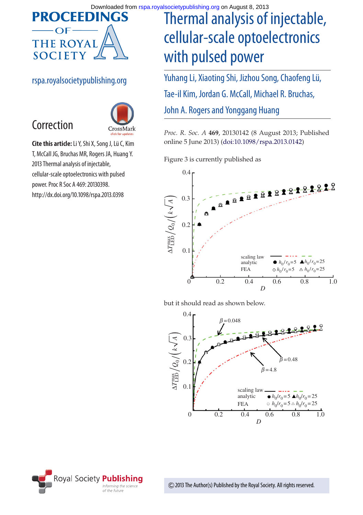

#### rspa.royalsocietypublishing.org

Correction



**Cite this article:**Li Y, Shi X, Song J, Lü C, Kim T, McCall JG, Bruchas MR, Rogers JA, Huang Y. 2013 Thermal analysis of injectable, cellular-scale optoelectronics with pulsed power. Proc R Soc A 469: 20130398. http://dx.doi.org/10.1098/rspa.2013.0398

# Thermal analysis of injectable, cellular-scale optoelectronics with pulsed power

Yuhang Li, Xiaoting Shi, Jizhou Song, Chaofeng Lü, Tae-il Kim, Jordan G. McCall, Michael R. Bruchas, John A. Rogers and Yonggang Huang

*Proc. R. Soc. A* **469**, 20130142 (8 August 2013; Published online 5 June 2013) [\(doi:10.1098/rspa.2013.0142\)](http://dx.doi.org/doi:10.1098/rspa.2013.0142)

Figure 3 is currently published as



but it should read as shown below.